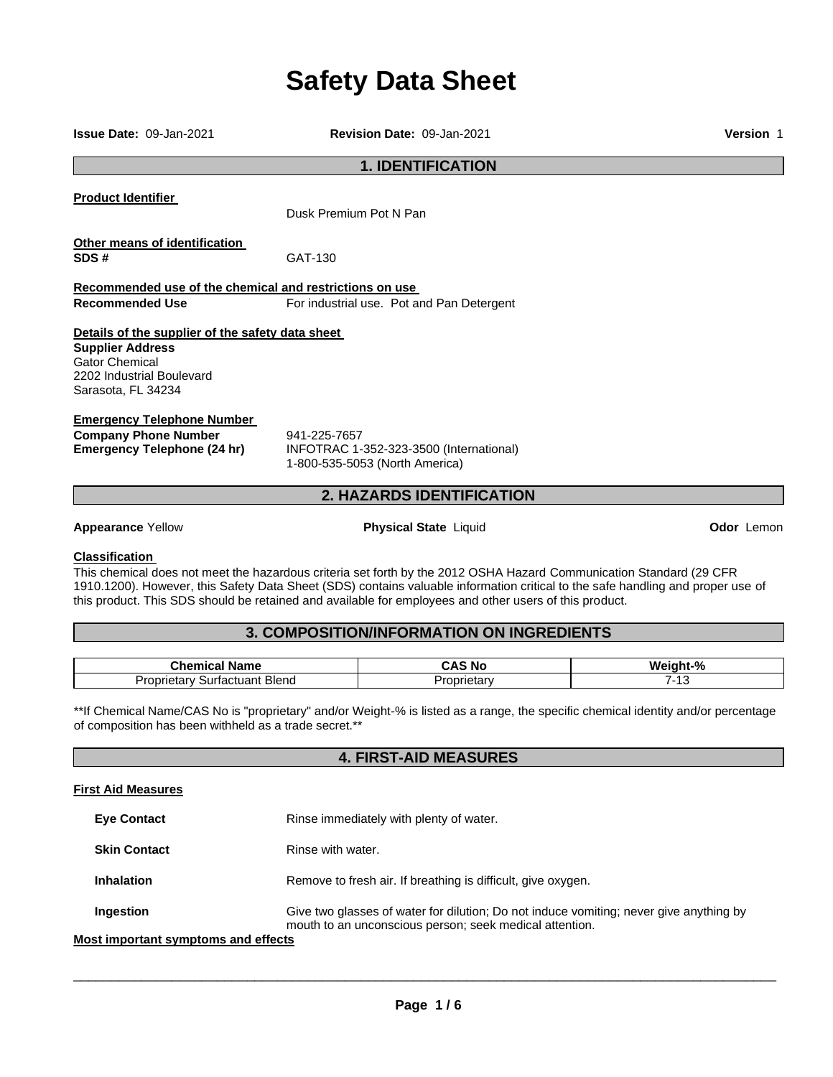# **Safety Data Sheet**

| <b>Issue Date: 09-Jan-2021</b>                                                                         | Revision Date: 09-Jan-2021                                                                                          | Version 1  |
|--------------------------------------------------------------------------------------------------------|---------------------------------------------------------------------------------------------------------------------|------------|
|                                                                                                        | <b>1. IDENTIFICATION</b>                                                                                            |            |
| <b>Product Identifier</b>                                                                              | Dusk Premium Pot N Pan                                                                                              |            |
| Other means of identification<br>SDS#                                                                  | GAT-130                                                                                                             |            |
| Recommended use of the chemical and restrictions on use                                                |                                                                                                                     |            |
| <b>Recommended Use</b>                                                                                 | For industrial use. Pot and Pan Detergent                                                                           |            |
| Details of the supplier of the safety data sheet                                                       |                                                                                                                     |            |
| <b>Supplier Address</b><br><b>Gator Chemical</b><br>2202 Industrial Boulevard<br>Sarasota, FL 34234    |                                                                                                                     |            |
| <b>Emergency Telephone Number</b><br><b>Company Phone Number</b><br><b>Emergency Telephone (24 hr)</b> | 941-225-7657<br>INFOTRAC 1-352-323-3500 (International)<br>1-800-535-5053 (North America)                           |            |
| 2. HAZARDS IDENTIFICATION                                                                              |                                                                                                                     |            |
| <b>Appearance Yellow</b>                                                                               | <b>Physical State Liquid</b>                                                                                        | Odor Lemon |
| <b>Classification</b>                                                                                  | This chemical does not meet the hazardous criteria set forth by the 2012 OSHA Hazard Communication Standard (29 CFR |            |

1910.1200). However, this Safety Data Sheet (SDS) contains valuable information critical to the safe handling and proper use of this product. This SDS should be retained and available for employees and other users of this product.

# **3. COMPOSITION/INFORMATION ON INGREDIENTS**

| $\mathbf{a}_{\mathbf{b}}$<br>Name<br>$\mathsf{L}$ ner<br>$\sim$ | ' No<br>.              | $\mathbf{a}$<br>W. |
|-----------------------------------------------------------------|------------------------|--------------------|
| Blend<br>Jron<br><b>001100</b><br>surtac<br>ונ<br>лиян<br>っに    | - - - - -<br><br>.clar | יי                 |

\*\*If Chemical Name/CAS No is "proprietary" and/or Weight-% is listed as a range, the specific chemical identity and/or percentage of composition has been withheld as a trade secret.\*\*

# **4. FIRST-AID MEASURES**

#### **First Aid Measures**

| <b>Eye Contact</b>                 | Rinse immediately with plenty of water.                                                                                                           |
|------------------------------------|---------------------------------------------------------------------------------------------------------------------------------------------------|
| <b>Skin Contact</b>                | Rinse with water.                                                                                                                                 |
| <b>Inhalation</b>                  | Remove to fresh air. If breathing is difficult, give oxygen.                                                                                      |
| Ingestion                          | Give two glasses of water for dilution; Do not induce vomiting; never give anything by<br>mouth to an unconscious person; seek medical attention. |
| ost imnortant symntoms and effects |                                                                                                                                                   |

## **Most importa**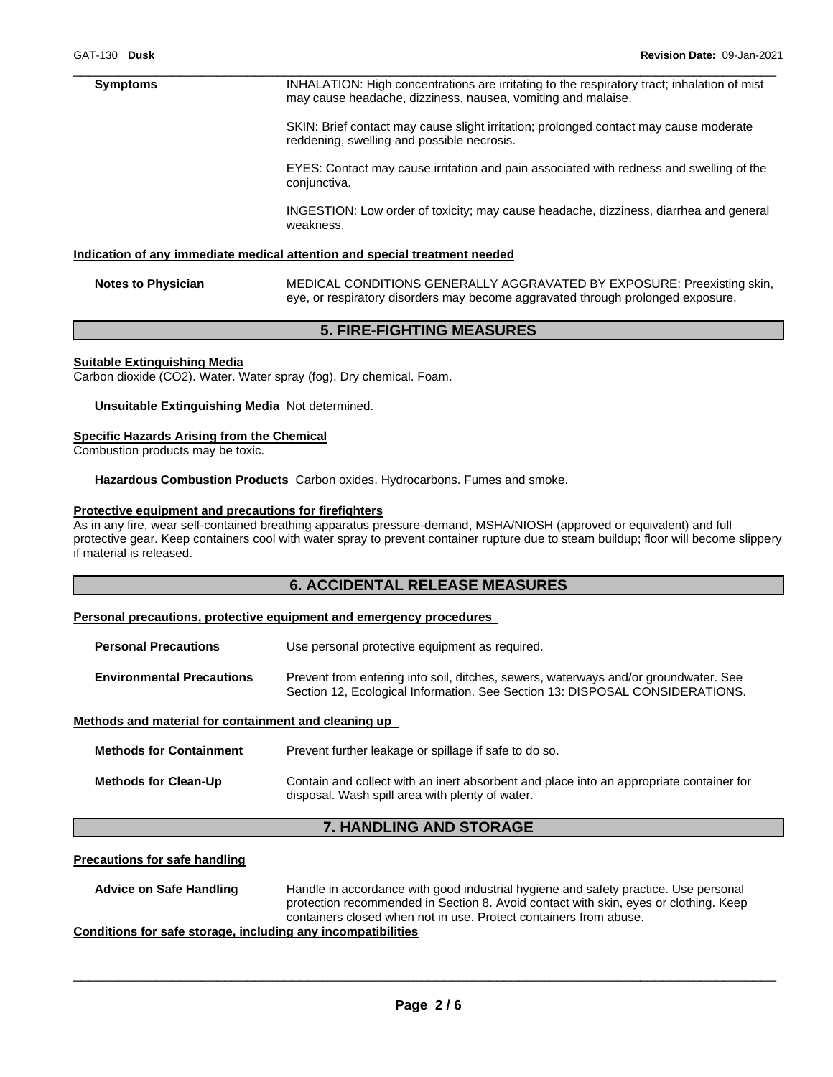#### \_\_\_\_\_\_\_\_\_\_\_\_\_\_\_\_\_\_\_\_\_\_\_\_\_\_\_\_\_\_\_\_\_\_\_\_\_\_\_\_\_\_\_\_\_\_\_\_\_\_\_\_\_\_\_\_\_\_\_\_\_\_\_\_\_\_\_\_\_\_\_\_\_\_\_\_\_\_\_\_\_\_\_\_\_\_\_\_\_\_\_\_\_ **Symptoms INHALATION: High concentrations are irritating to the respiratory tract; inhalation of mist** may cause headache, dizziness, nausea, vomiting and malaise.

SKIN: Brief contact may cause slight irritation; prolonged contact may cause moderate reddening, swelling and possible necrosis.

EYES: Contact may cause irritation and pain associated with redness and swelling of the conjunctiva.

INGESTION: Low order of toxicity; may cause headache, dizziness, diarrhea and general weakness.

#### **Indication of any immediate medical attention and special treatment needed**

**Notes to Physician** MEDICAL CONDITIONS GENERALLY AGGRAVATED BY EXPOSURE: Preexisting skin, eye, or respiratory disorders may become aggravated through prolonged exposure.

# **5. FIRE-FIGHTING MEASURES**

#### **Suitable Extinguishing Media**

Carbon dioxide (CO2). Water. Water spray (fog). Dry chemical. Foam.

**Unsuitable Extinguishing Media** Not determined.

#### **Specific Hazards Arising from the Chemical**

Combustion products may be toxic.

**Hazardous Combustion Products** Carbon oxides. Hydrocarbons. Fumes and smoke.

#### **Protective equipment and precautions for firefighters**

As in any fire, wear self-contained breathing apparatus pressure-demand, MSHA/NIOSH (approved or equivalent) and full protective gear. Keep containers cool with water spray to prevent container rupture due to steam buildup; floor will become slippery if material is released.

# **6. ACCIDENTAL RELEASE MEASURES**

#### **Personal precautions, protective equipment and emergency procedures**

**Personal Precautions** Use personal protective equipment as required. **Environmental Precautions** Prevent from entering into soil, ditches, sewers, waterways and/or groundwater. See Section 12, Ecological Information. See Section 13: DISPOSAL CONSIDERATIONS.

#### **Methods and material for containment and cleaning up**

| <b>Methods for Containment</b> | Prevent further leakage or spillage if safe to do so.                                                                                      |
|--------------------------------|--------------------------------------------------------------------------------------------------------------------------------------------|
| <b>Methods for Clean-Up</b>    | Contain and collect with an inert absorbent and place into an appropriate container for<br>disposal. Wash spill area with plenty of water. |

# **7. HANDLING AND STORAGE**

#### **Precautions for safe handling**

**Advice on Safe Handling** Handle in accordance with good industrial hygiene and safety practice. Use personal protection recommended in Section 8. Avoid contact with skin, eyes or clothing. Keep containers closed when not in use. Protect containers from abuse. **Conditions for safe storage, including any incompatibilities**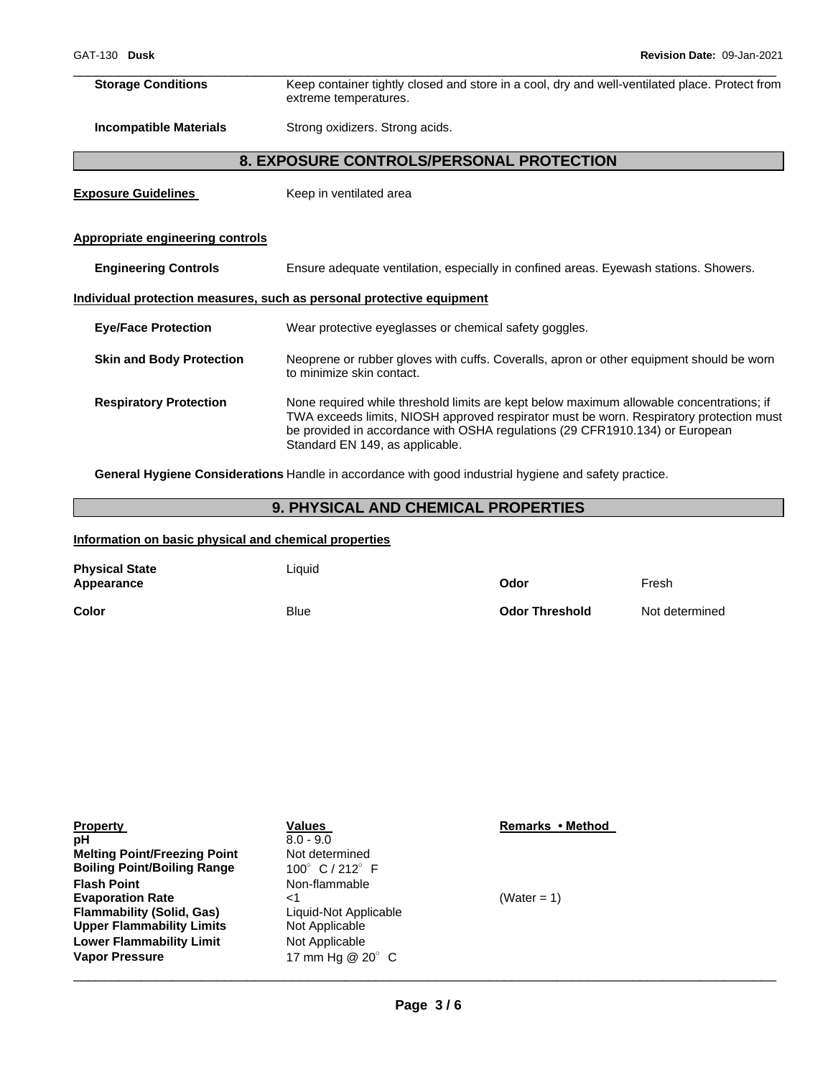\_\_\_\_\_\_\_\_\_\_\_\_\_\_\_\_\_\_\_\_\_\_\_\_\_\_\_\_\_\_\_\_\_\_\_\_\_\_\_\_\_\_\_\_\_\_\_\_\_\_\_\_\_\_\_\_\_\_\_\_\_\_\_\_\_\_\_\_\_\_\_\_\_\_\_\_\_\_\_\_\_\_\_\_\_\_\_\_\_\_\_\_\_ **Storage Conditions** Keep container tightly closed and store in a cool, dry and well-ventilated place. Protect from extreme temperatures.

**Incompatible Materials Strong oxidizers. Strong acids.** 

# **8. EXPOSURE CONTROLS/PERSONAL PROTECTION**

**Exposure Guidelines Keep in ventilated area** 

## **Appropriate engineering controls**

| <b>Engineering Controls</b>     | Ensure adequate ventilation, especially in confined areas. Eyewash stations. Showers.                                                                                                                                                                                                                  |
|---------------------------------|--------------------------------------------------------------------------------------------------------------------------------------------------------------------------------------------------------------------------------------------------------------------------------------------------------|
|                                 | Individual protection measures, such as personal protective equipment                                                                                                                                                                                                                                  |
| <b>Eye/Face Protection</b>      | Wear protective eyeglasses or chemical safety goggles.                                                                                                                                                                                                                                                 |
| <b>Skin and Body Protection</b> | Neoprene or rubber gloves with cuffs. Coveralls, apron or other equipment should be worn<br>to minimize skin contact.                                                                                                                                                                                  |
| <b>Respiratory Protection</b>   | None required while threshold limits are kept below maximum allowable concentrations; if<br>TWA exceeds limits, NIOSH approved respirator must be worn. Respiratory protection must<br>be provided in accordance with OSHA regulations (29 CFR1910.134) or European<br>Standard EN 149, as applicable. |

**General Hygiene Considerations** Handle in accordance with good industrial hygiene and safety practice.

# **9. PHYSICAL AND CHEMICAL PROPERTIES**

## **Information on basic physical and chemical properties**

| <b>Physical State</b><br>Appearance | Liquid      | Odor                  | Fresh          |
|-------------------------------------|-------------|-----------------------|----------------|
| Color                               | <b>Blue</b> | <b>Odor Threshold</b> | Not determined |

| <b>Property</b><br>рH               | Values<br>$8.0 - 9.0$               | Remarks • Method |
|-------------------------------------|-------------------------------------|------------------|
| <b>Melting Point/Freezing Point</b> | Not determined                      |                  |
| <b>Boiling Point/Boiling Range</b>  | 100 $^{\circ}$ C / 212 $^{\circ}$ F |                  |
| <b>Flash Point</b>                  | Non-flammable                       |                  |
| <b>Evaporation Rate</b>             | ا>                                  | (Water = 1)      |
| <b>Flammability (Solid, Gas)</b>    | Liquid-Not Applicable               |                  |
| <b>Upper Flammability Limits</b>    | Not Applicable                      |                  |
| <b>Lower Flammability Limit</b>     | Not Applicable                      |                  |
| <b>Vapor Pressure</b>               | 17 mm Ha @ 20° C                    |                  |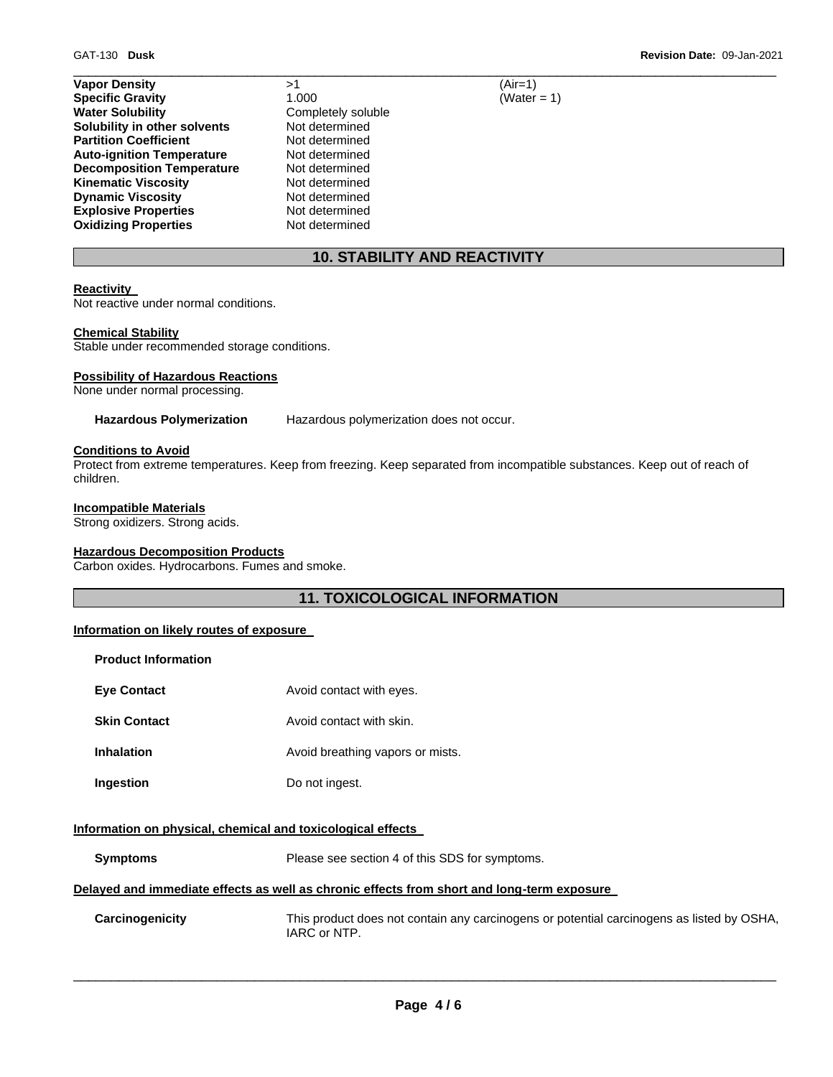| <b>Vapor Density</b>             | >1                 | $(Air=1)$ |
|----------------------------------|--------------------|-----------|
| <b>Specific Gravity</b>          | 1.000              | (Water    |
| <b>Water Solubility</b>          | Completely soluble |           |
| Solubility in other solvents     | Not determined     |           |
| <b>Partition Coefficient</b>     | Not determined     |           |
| <b>Auto-ignition Temperature</b> | Not determined     |           |
| <b>Decomposition Temperature</b> | Not determined     |           |
| <b>Kinematic Viscosity</b>       | Not determined     |           |
| <b>Dynamic Viscosity</b>         | Not determined     |           |
| <b>Explosive Properties</b>      | Not determined     |           |
| <b>Oxidizing Properties</b>      | Not determined     |           |

**Specific Gravity** 1.000 (Water = 1)

# **10. STABILITY AND REACTIVITY**

\_\_\_\_\_\_\_\_\_\_\_\_\_\_\_\_\_\_\_\_\_\_\_\_\_\_\_\_\_\_\_\_\_\_\_\_\_\_\_\_\_\_\_\_\_\_\_\_\_\_\_\_\_\_\_\_\_\_\_\_\_\_\_\_\_\_\_\_\_\_\_\_\_\_\_\_\_\_\_\_\_\_\_\_\_\_\_\_\_\_\_\_\_

#### **Reactivity**

Not reactive under normal conditions.

#### **Chemical Stability**

Stable under recommended storage conditions.

## **Possibility of Hazardous Reactions**

None under normal processing.

**Hazardous Polymerization** Hazardous polymerization does not occur.

## **Conditions to Avoid**

Protect from extreme temperatures. Keep from freezing. Keep separated from incompatible substances. Keep out of reach of children.

## **Incompatible Materials**

Strong oxidizers. Strong acids.

#### **Hazardous Decomposition Products**

Carbon oxides. Hydrocarbons. Fumes and smoke.

# **11. TOXICOLOGICAL INFORMATION**

# **Information on likely routes of exposure**

| <b>Product Information</b> |                                  |
|----------------------------|----------------------------------|
| <b>Eve Contact</b>         | Avoid contact with eyes.         |
| <b>Skin Contact</b>        | Avoid contact with skin.         |
| Inhalation                 | Avoid breathing vapors or mists. |
| Ingestion                  | Do not ingest.                   |

#### **Information on physical, chemical and toxicological effects**

**Symptoms** Please see section 4 of this SDS for symptoms.

# **Delayed and immediate effects as well as chronic effects from short and long-term exposure**

**Carcinogenicity** This product does not contain any carcinogens or potential carcinogens as listed by OSHA, IARC or NTP.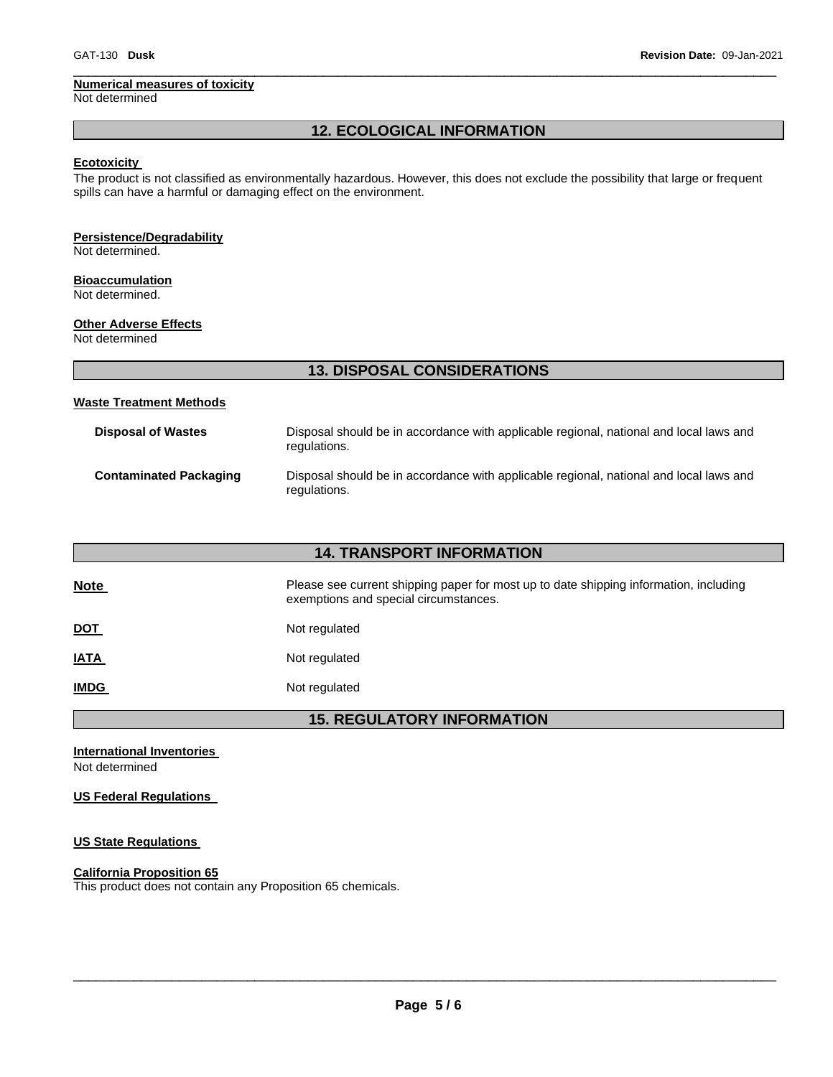## **Numerical measures of toxicity**

Not determined

# **12. ECOLOGICAL INFORMATION**

\_\_\_\_\_\_\_\_\_\_\_\_\_\_\_\_\_\_\_\_\_\_\_\_\_\_\_\_\_\_\_\_\_\_\_\_\_\_\_\_\_\_\_\_\_\_\_\_\_\_\_\_\_\_\_\_\_\_\_\_\_\_\_\_\_\_\_\_\_\_\_\_\_\_\_\_\_\_\_\_\_\_\_\_\_\_\_\_\_\_\_\_\_

## **Ecotoxicity**

The product is not classified as environmentally hazardous. However, this does not exclude the possibility that large or frequent spills can have a harmful or damaging effect on the environment.

# **Persistence/Degradability**

Not determined.

# **Bioaccumulation**

Not determined.

# **Other Adverse Effects**

Not determined

|                                | <b>13. DISPOSAL CONSIDERATIONS</b> |
|--------------------------------|------------------------------------|
| <b>Waste Treatment Methods</b> |                                    |

| <b>Disposal of Wastes</b>     | Disposal should be in accordance with applicable regional, national and local laws and<br>regulations. |
|-------------------------------|--------------------------------------------------------------------------------------------------------|
| <b>Contaminated Packaging</b> | Disposal should be in accordance with applicable regional, national and local laws and<br>regulations. |

| <b>14. TRANSPORT INFORMATION</b> |                                                                                                                                |  |
|----------------------------------|--------------------------------------------------------------------------------------------------------------------------------|--|
| <b>Note</b>                      | Please see current shipping paper for most up to date shipping information, including<br>exemptions and special circumstances. |  |
| <b>DOT</b>                       | Not regulated                                                                                                                  |  |
| <b>IATA</b>                      | Not regulated                                                                                                                  |  |
| <b>IMDG</b>                      | Not regulated                                                                                                                  |  |
|                                  |                                                                                                                                |  |

**15. REGULATORY INFORMATION** 

**International Inventories**  Not determined

**US Federal Regulations** 

# **US State Regulations**

# **California Proposition 65**

This product does not contain any Proposition 65 chemicals.